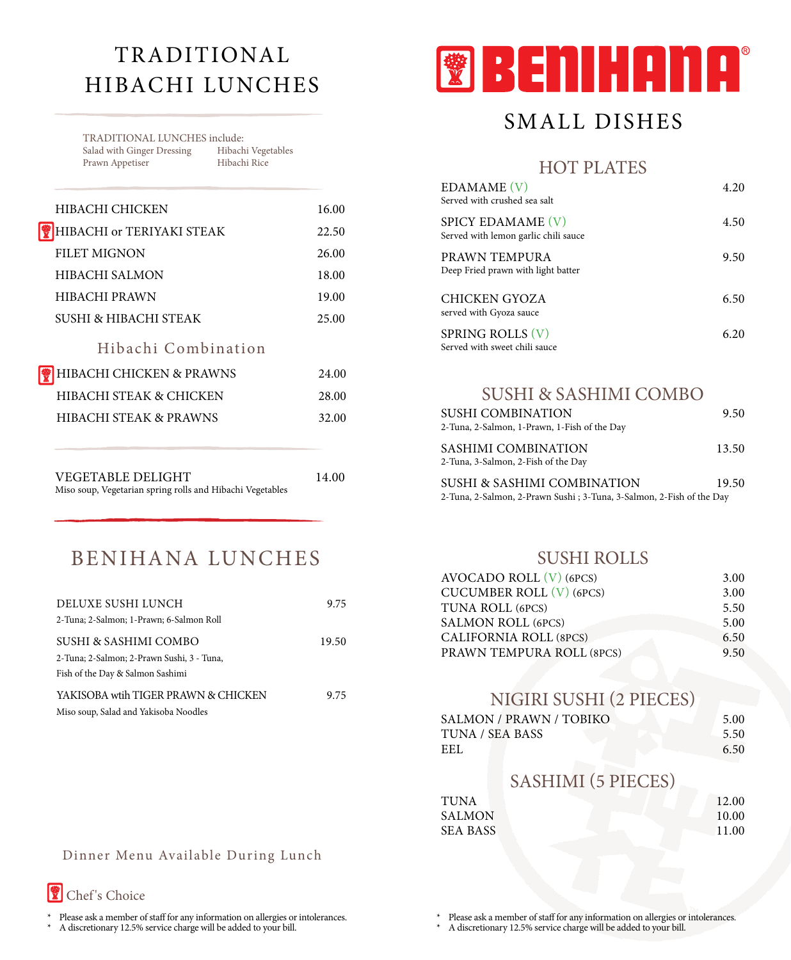# TRADITIONAL Hibachi LUNCHES

TRADITIONAL LUNCHES include:<br>Salad with Ginger Dressing Hibachi Vegetables Salad with Ginger Dressing Hibachi Vege<br>Prawn Appetiser Hibachi Rice Prawn Appetiser

| HIBACHI CHICKEN                   | 16.00 |
|-----------------------------------|-------|
| HIBACHI or TERIYAKI STEAK         | 22.50 |
| <b>FILET MIGNON</b>               | 26.00 |
| <b>HIBACHI SALMON</b>             | 18.00 |
| <b>HIBACHI PRAWN</b>              | 19.00 |
| SUSHI & HIBACHI STEAK             | 25.00 |
| Hibachi Combination               |       |
| HIBACHI CHICKEN & PRAWNS          | 24.00 |
| HIBACHI STEAK & CHICKEN           | 28.00 |
| <b>HIBACHI STEAK &amp; PRAWNS</b> | 32.00 |
|                                   |       |
| VEGETABLE DELIGHT                 | 14.00 |

| BENIHANA LUNCHES |  |
|------------------|--|

Miso soup, Vegetarian spring rolls and Hibachi Vegetables

| DELUXE SUSHI LUNCH                         | 9.75  |
|--------------------------------------------|-------|
| 2-Tuna; 2-Salmon; 1-Prawn; 6-Salmon Roll   |       |
| SUSHI & SASHIMI COMBO                      | 19.50 |
| 2-Tuna; 2-Salmon; 2-Prawn Sushi, 3 - Tuna, |       |
| Fish of the Day & Salmon Sashimi           |       |
| YAKISOBA wtih TIGER PRAWN & CHICKEN        | 9.75  |
| Miso soup, Salad and Yakisoba Noodles      |       |



# SMALL DISHES

HOT PLATES

| EDAMAME (V)<br>Served with crushed sea salt               | 4.20 |
|-----------------------------------------------------------|------|
| SPICY EDAMAME (V)<br>Served with lemon garlic chili sauce | 4.50 |
| PRAWN TEMPURA<br>Deep Fried prawn with light batter       | 9.50 |
| CHICKEN GYOZA<br>served with Gyoza sauce                  | 6.50 |
| <b>SPRING ROLLS (V)</b><br>Served with sweet chili sauce  | 6.20 |

### SUSHI & SASHIMI COMBO

| <b>SUSHI COMBINATION</b>                                              | 9.50  |
|-----------------------------------------------------------------------|-------|
| 2-Tuna, 2-Salmon, 1-Prawn, 1-Fish of the Day                          |       |
| SASHIMI COMBINATION<br>2-Tuna, 3-Salmon, 2-Fish of the Day            | 13.50 |
| SUSHI & SASHIMI COMBINATION                                           | 19.50 |
| 2-Tuna, 2-Salmon, 2-Prawn Sushi ; 3-Tuna, 3-Salmon, 2-Fish of the Day |       |

### SUSHI ROLLS

| AVOCADO ROLL $(V)$ (6PCS)     | 3.00 |
|-------------------------------|------|
| CUCUMBER ROLL (V) (6PCS)      | 3.00 |
| TUNA ROLL (6PCS)              | 5.50 |
| <b>SALMON ROLL (6PCS)</b>     | 5.00 |
| <b>CALIFORNIA ROLL (8PCS)</b> | 6.50 |
| PRAWN TEMPURA ROLL (8PCS)     | 9.50 |
|                               |      |

### NIGIRI SUSHI (2 PIECES)

| SALMON / PRAWN / TOBIKO | 5.00 |
|-------------------------|------|
| TUNA / SEA BASS         | 5.50 |
| EEL.                    | 6.50 |

## SASHIMI (5 PIECES)

| TUNA            | 12.00 |
|-----------------|-------|
| <b>SALMON</b>   | 10.00 |
| <b>SEA BASS</b> | 11.00 |

#### Dinner Menu Available During Lunch



\* Please ask a member of staff for any information on allergies or intolerances.

A discretionary 12.5% service charge will be added to your bill.

Please ask a member of staff for any information on allergies or intolerances.

A discretionary 12.5% service charge will be added to your bill.